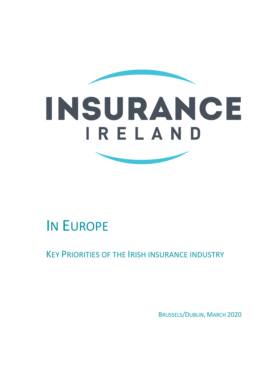



# IN EUROPE

KEY PRIORITIES OF THE IRISH INSURANCE INDUSTRY

BRUSSELS/DUBLIN, MARCH 2020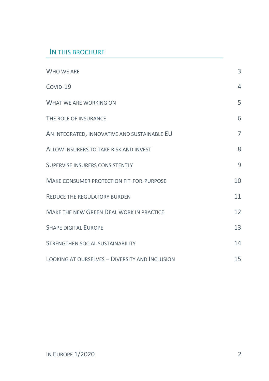#### IN THIS BROCHURE

| WHO WE ARE                                      | 3              |
|-------------------------------------------------|----------------|
| $CovID-19$                                      | $\overline{4}$ |
| WHAT WE ARE WORKING ON                          | 5              |
| THE ROLE OF INSURANCE                           | 6              |
| AN INTEGRATED, INNOVATIVE AND SUSTAINABLE EU    | $\overline{7}$ |
| ALLOW INSURERS TO TAKE RISK AND INVEST          | 8              |
| SUPERVISE INSURERS CONSISTENTLY                 | 9              |
| <b>MAKE CONSUMER PROTECTION FIT-FOR-PURPOSE</b> | 10             |
| <b>REDUCE THE REGULATORY BURDEN</b>             | 11             |
| <b>MAKE THE NEW GREEN DEAL WORK IN PRACTICE</b> | 12             |
| <b>SHAPE DIGITAL EUROPE</b>                     | 13             |
| STRENGTHEN SOCIAL SUSTAINABILITY                | 14             |
| LOOKING AT OURSELVES - DIVERSITY AND INCLUSION  | 15             |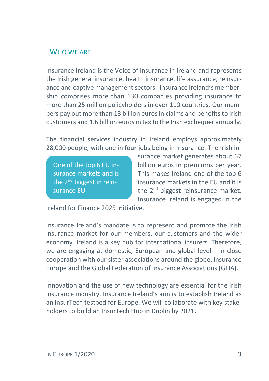## WHO WE ARE

Insurance Ireland is the Voice of Insurance in Ireland and represents the Irish general insurance, health insurance, life assurance, reinsurance and captive management sectors. Insurance Ireland's membership comprises more than 130 companies providing insurance to more than 25 million policyholders in over 110 countries. Our members pay out more than 13 billion euros in claims and benefits to Irish customers and 1.6 billion euros in tax to the Irish exchequer annually.

The financial services industry in Ireland employs approximately 28,000 people, with one in four jobs being in insurance. The Irish in-

One of the top 6 EU insurance markets and is the 2<sup>nd</sup> biggest in reinsurance EU

surance market generates about 67 billion euros in premiums per year. This makes Ireland one of the top 6 insurance markets in the EU and it is the 2<sup>nd</sup> biggest reinsurance market. Insurance Ireland is engaged in the

Ireland for Finance 2025 initiative.

Insurance Ireland's mandate is to represent and promote the Irish insurance market for our members, our customers and the wider economy. Ireland is a key hub for international insurers. Therefore, we are engaging at domestic, European and global level – in close cooperation with our sister associations around the globe, Insurance Europe and the Global Federation of Insurance Associations (GFIA).

Innovation and the use of new technology are essential for the Irish insurance industry. Insurance Ireland's aim is to establish Ireland as an InsurTech testbed for Europe. We will collaborate with key stakeholders to build an InsurTech Hub in Dublin by 2021.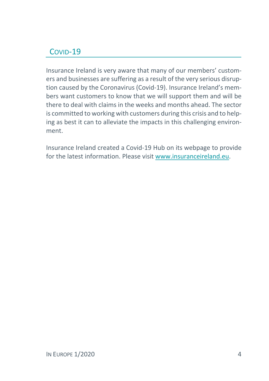## COVID-19

Insurance Ireland is very aware that many of our members' customers and businesses are suffering as a result of the very serious disruption caused by the Coronavirus (Covid-19). Insurance Ireland's members want customers to know that we will support them and will be there to deal with claims in the weeks and months ahead. The sector is committed to working with customers during this crisis and to helping as best it can to alleviate the impacts in this challenging environment.

Insurance Ireland created a Covid-19 Hub on its webpage to provide for the latest information. Please visit www.insuranceireland.eu.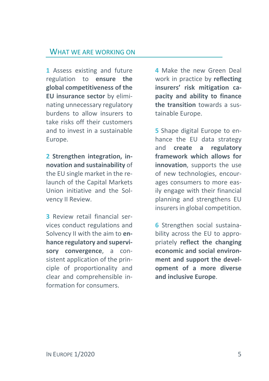#### WHAT WE ARE WORKING ON

**1** Assess existing and future regulation to **ensure the global competitiveness of the EU insurance sector** by eliminating unnecessary regulatory burdens to allow insurers to take risks off their customers and to invest in a sustainable Europe.

**2 Strengthen integration, innovation and sustainability** of the EU single market in the relaunch of the Capital Markets Union initiative and the Solvency II Review.

**3** Review retail financial services conduct regulations and Solvency II with the aim to **enhance regulatory and supervisory convergence**, a consistent application of the principle of proportionality and clear and comprehensible information for consumers.

**4** Make the new Green Deal work in practice by **reflecting insurers' risk mitigation capacity and ability to finance the transition** towards a sustainable Europe.

**5** Shape digital Europe to enhance the EU data strategy and **create a regulatory framework which allows for innovation**, supports the use of new technologies, encourages consumers to more easily engage with their financial planning and strengthens EU insurers in global competition.

**6** Strengthen social sustainability across the EU to appropriately **reflect the changing economic and social environment and support the development of a more diverse and inclusive Europe**.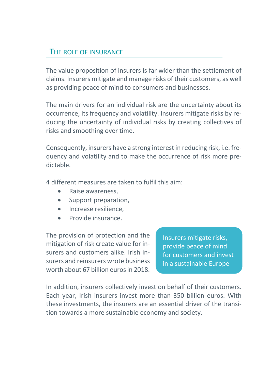## THE ROLE OF INSURANCE

The value proposition of insurers is far wider than the settlement of claims. Insurers mitigate and manage risks of their customers, as well as providing peace of mind to consumers and businesses.

The main drivers for an individual risk are the uncertainty about its occurrence, its frequency and volatility. Insurers mitigate risks by reducing the uncertainty of individual risks by creating collectives of risks and smoothing over time.

Consequently, insurers have a strong interest in reducing risk, i.e. frequency and volatility and to make the occurrence of risk more predictable.

4 different measures are taken to fulfil this aim:

- Raise awareness,
- Support preparation,
- Increase resilience.
- Provide insurance.

The provision of protection and the mitigation of risk create value for insurers and customers alike. Irish insurers and reinsurers wrote business worth about 67 billion euros in 2018.

Insurers mitigate risks, provide peace of mind for customers and invest in a sustainable Europe

In addition, insurers collectively invest on behalf of their customers. Each year, Irish insurers invest more than 350 billion euros. With these investments, the insurers are an essential driver of the transition towards a more sustainable economy and society.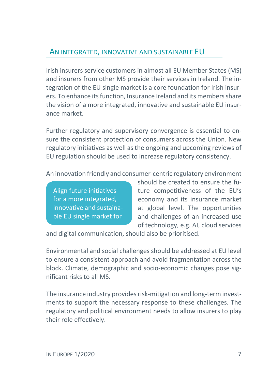## AN INTEGRATED, INNOVATIVE AND SUSTAINABLE EU

Irish insurers service customers in almost all EU Member States (MS) and insurers from other MS provide their services in Ireland. The integration of the EU single market is a core foundation for Irish insurers. To enhance its function, Insurance Ireland and its members share the vision of a more integrated, innovative and sustainable EU insurance market.

Further regulatory and supervisory convergence is essential to ensure the consistent protection of consumers across the Union. New regulatory initiatives as well as the ongoing and upcoming reviews of EU regulation should be used to increase regulatory consistency.

An innovation friendly and consumer-centric regulatory environment

Align future initiatives for a more integrated, innovative and sustainable EU single market for

insurance in the control of the control of the control of the control of the control of the control of the con<br>In the control of the control of the control of the control of the control of the control of the control of th

should be created to ensure the future competitiveness of the EU's economy and its insurance market at global level. The opportunities and challenges of an increased use of technology, e.g. AI, cloud services

and digital communication, should also be prioritised.

Environmental and social challenges should be addressed at EU level to ensure a consistent approach and avoid fragmentation across the block. Climate, demographic and socio-economic changes pose significant risks to all MS.

The insurance industry provides risk-mitigation and long-term investments to support the necessary response to these challenges. The regulatory and political environment needs to allow insurers to play their role effectively.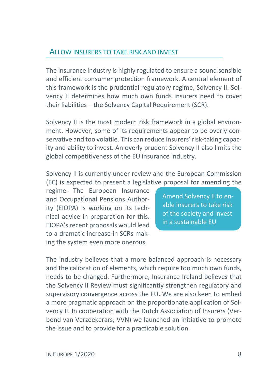#### ALLOW INSURERS TO TAKE RISK AND INVEST

The insurance industry is highly regulated to ensure a sound sensible and efficient consumer protection framework. A central element of this framework is the prudential regulatory regime, Solvency II. Solvency II determines how much own funds insurers need to cover their liabilities – the Solvency Capital Requirement (SCR).

Solvency II is the most modern risk framework in a global environment. However, some of its requirements appear to be overly conservative and too volatile. This can reduce insurers' risk-taking capacity and ability to invest. An overly prudent Solvency II also limits the global competitiveness of the EU insurance industry.

Solvency II is currently under review and the European Commission (EC) is expected to present a legislative proposal for amending the

regime. The European Insurance and Occupational Pensions Authority (EIOPA) is working on its technical advice in preparation for this. EIOPA's recent proposals would lead to a dramatic increase in SCRs making the system even more onerous.

Amend Solvency II to enable insurers to take risk of the society and invest in a sustainable EU

The industry believes that a more balanced approach is necessary and the calibration of elements, which require too much own funds, needs to be changed. Furthermore, Insurance Ireland believes that the Solvency II Review must significantly strengthen regulatory and supervisory convergence across the EU. We are also keen to embed a more pragmatic approach on the proportionate application of Solvency II. In cooperation with the Dutch Association of Insurers (Verbond van Verzeekerars, VVN) we launched an initiative to promote the issue and to provide for a practicable solution.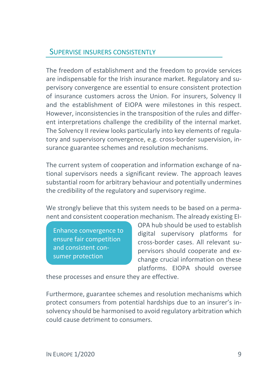#### SUPERVISE INSURERS CONSISTENTLY

The freedom of establishment and the freedom to provide services are indispensable for the Irish insurance market. Regulatory and supervisory convergence are essential to ensure consistent protection of insurance customers across the Union. For insurers, Solvency II and the establishment of EIOPA were milestones in this respect. However, inconsistencies in the transposition of the rules and different interpretations challenge the credibility of the internal market. The Solvency II review looks particularly into key elements of regulatory and supervisory convergence, e.g. cross-border supervision, insurance guarantee schemes and resolution mechanisms.

The current system of cooperation and information exchange of national supervisors needs a significant review. The approach leaves substantial room for arbitrary behaviour and potentially undermines the credibility of the regulatory and supervisory regime.

We strongly believe that this system needs to be based on a permanent and consistent cooperation mechanism. The already existing EI-

Enhance convergence to ensure fair competition and consistent consumer protection

OPA hub should be used to establish digital supervisory platforms for cross-border cases. All relevant supervisors should cooperate and exchange crucial information on these platforms. EIOPA should oversee

these processes and ensure they are effective.

Furthermore, guarantee schemes and resolution mechanisms which protect consumers from potential hardships due to an insurer's insolvency should be harmonised to avoid regulatory arbitration which could cause detriment to consumers.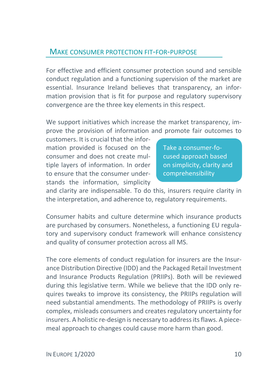#### MAKE CONSUMER PROTECTION FIT-FOR-PURPOSE

For effective and efficient consumer protection sound and sensible conduct regulation and a functioning supervision of the market are essential. Insurance Ireland believes that transparency, an information provision that is fit for purpose and regulatory supervisory convergence are the three key elements in this respect.

We support initiatives which increase the market transparency, improve the provision of information and promote fair outcomes to

customers. It is crucial that the information provided is focused on the consumer and does not create multiple layers of information. In order to ensure that the consumer understands the information, simplicity

Take a consumer-focused approach based on simplicity, clarity and comprehensibility

and clarity are indispensable. To do this, insurers require clarity in the interpretation, and adherence to, regulatory requirements.

Consumer habits and culture determine which insurance products are purchased by consumers. Nonetheless, a functioning EU regulatory and supervisory conduct framework will enhance consistency and quality of consumer protection across all MS.

The core elements of conduct regulation for insurers are the Insurance Distribution Directive (IDD) and the Packaged Retail Investment and Insurance Products Regulation (PRIIPs). Both will be reviewed during this legislative term. While we believe that the IDD only requires tweaks to improve its consistency, the PRIIPs regulation will need substantial amendments. The methodology of PRIIPs is overly complex, misleads consumers and creates regulatory uncertainty for insurers. A holistic re-design is necessary to address its flaws. A piecemeal approach to changes could cause more harm than good.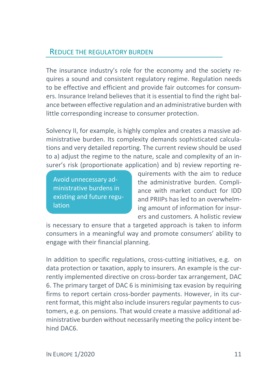### REDUCE THE REGULATORY BURDEN

The insurance industry's role for the economy and the society requires a sound and consistent regulatory regime. Regulation needs to be effective and efficient and provide fair outcomes for consumers. Insurance Ireland believes that it is essential to find the right balance between effective regulation and an administrative burden with little corresponding increase to consumer protection.

Solvency II, for example, is highly complex and creates a massive administrative burden. Its complexity demands sophisticated calculations and very detailed reporting. The current review should be used to a) adjust the regime to the nature, scale and complexity of an insurer's risk (proportionate application) and b) review reporting re-

Avoid unnecessary administrative burdens in existing and future regulation

quirements with the aim to reduce the administrative burden. Compliance with market conduct for IDD and PRIIPs has led to an overwhelming amount of information for insurers and customers. A holistic review

is necessary to ensure that a targeted approach is taken to inform consumers in a meaningful way and promote consumers' ability to engage with their financial planning.

In addition to specific regulations, cross-cutting initiatives, e.g. on data protection or taxation, apply to insurers. An example is the currently implemented directive on cross-border tax arrangement, DAC 6. The primary target of DAC 6 is minimising tax evasion by requiring firms to report certain cross-border payments. However, in its current format, this might also include insurers regular payments to customers, e.g. on pensions. That would create a massive additional administrative burden without necessarily meeting the policy intent behind DAC6.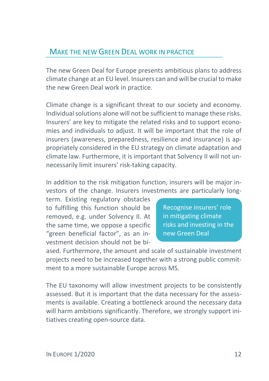### MAKE THE NEW GREEN DEAL WORK IN PRACTICE

The new Green Deal for Europe presents ambitious plans to address climate change at an EU level. Insurers can and will be crucial to make the new Green Deal work in practice.

Climate change is a significant threat to our society and economy. Individual solutions alone will not be sufficient to manage these risks. Insurers' are key to mitigate the related risks and to support economies and individuals to adjust. It will be important that the role of insurers (awareness, preparedness, resilience and insurance) is appropriately considered in the EU strategy on climate adaptation and climate law. Furthermore, it is important that Solvency II will not unnecessarily limit insurers' risk-taking capacity.

In addition to the risk mitigation function, insurers will be major investors of the change. Insurers investments are particularly long-

term. Existing regulatory obstacles to fulfilling this function should be removed, e.g. under Solvency II. At the same time, we oppose a specific "green beneficial factor", as an investment decision should not be bi-

Recognise insurers' role in mitigating climate risks and investing in the new Green Deal

ased. Furthermore, the amount and scale of sustainable investment projects need to be increased together with a strong public commitment to a more sustainable Europe across MS.

The EU taxonomy will allow investment projects to be consistently assessed. But it is important that the data necessary for the assessments is available. Creating a bottleneck around the necessary data will harm ambitions significantly. Therefore, we strongly support initiatives creating open-source data.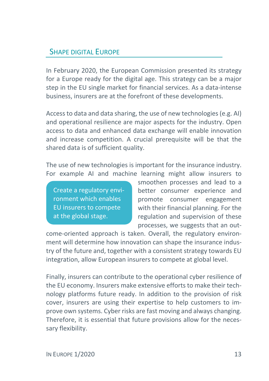## SHAPE DIGITAL EUROPE

In February 2020, the European Commission presented its strategy for a Europe ready for the digital age. This strategy can be a major step in the EU single market for financial services. As a data-intense business, insurers are at the forefront of these developments.

Access to data and data sharing, the use of new technologies (e.g. AI) and operational resilience are major aspects for the industry. Open access to data and enhanced data exchange will enable innovation and increase competition. A crucial prerequisite will be that the shared data is of sufficient quality.

The use of new technologies is important for the insurance industry. For example AI and machine learning might allow insurers to

Create a regulatory environment which enables EU insurers to compete at the global stage.

smoothen processes and lead to a better consumer experience and promote consumer engagement with their financial planning. For the regulation and supervision of these processes, we suggests that an out-

come-oriented approach is taken. Overall, the regulatory environment will determine how innovation can shape the insurance industry of the future and, together with a consistent strategy towards EU integration, allow European insurers to compete at global level.

Finally, insurers can contribute to the operational cyber resilience of the EU economy. Insurers make extensive efforts to make their technology platforms future ready. In addition to the provision of risk cover, insurers are using their expertise to help customers to improve own systems. Cyber risks are fast moving and always changing. Therefore, it is essential that future provisions allow for the necessary flexibility.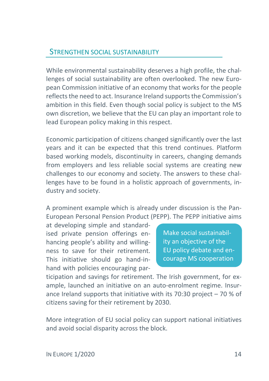#### STRENGTHEN SOCIAL SUSTAINABILITY

While environmental sustainability deserves a high profile, the challenges of social sustainability are often overlooked. The new European Commission initiative of an economy that works for the people reflects the need to act. Insurance Ireland supports the Commission's ambition in this field. Even though social policy is subject to the MS own discretion, we believe that the EU can play an important role to lead European policy making in this respect.

Economic participation of citizens changed significantly over the last years and it can be expected that this trend continues. Platform based working models, discontinuity in careers, changing demands from employers and less reliable social systems are creating new challenges to our economy and society. The answers to these challenges have to be found in a holistic approach of governments, industry and society.

A prominent example which is already under discussion is the Pan-European Personal Pension Product (PEPP). The PEPP initiative aims

at developing simple and standardised private pension offerings enhancing people's ability and willingness to save for their retirement. This initiative should go hand-inhand with policies encouraging par-

Make social sustainability an objective of the EU policy debate and encourage MS cooperation

ticipation and savings for retirement. The Irish government, for example, launched an initiative on an auto-enrolment regime. Insurance Ireland supports that initiative with its 70:30 project  $-70$  % of citizens saving for their retirement by 2030.

More integration of EU social policy can support national initiatives and avoid social disparity across the block.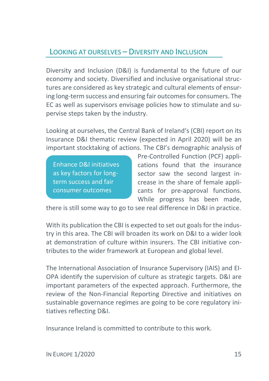## LOOKING AT OURSELVES – DIVERSITY AND INCLUSION

Diversity and Inclusion (D&I) is fundamental to the future of our economy and society. Diversified and inclusive organisational structures are considered as key strategic and cultural elements of ensuring long-term success and ensuring fair outcomes for consumers. The EC as well as supervisors envisage policies how to stimulate and supervise steps taken by the industry.

Looking at ourselves, the Central Bank of Ireland's (CBI) report on its Insurance D&I thematic review (expected in April 2020) will be an important stocktaking of actions. The CBI's demographic analysis of

Enhance D&I initiatives as key factors for longterm success and fair consumer outcomes

Pre-Controlled Function (PCF) applications found that the insurance sector saw the second largest increase in the share of female applicants for pre-approval functions. While progress has been made,

there is still some way to go to see real difference in D&I in practice.

With its publication the CBI is expected to set out goals for the industry in this area. The CBI will broaden its work on D&I to a wider look at demonstration of culture within insurers. The CBI initiative contributes to the wider framework at European and global level.

The International Association of Insurance Supervisory (IAIS) and EI-OPA identify the supervision of culture as strategic targets. D&I are important parameters of the expected approach. Furthermore, the review of the Non-Financial Reporting Directive and initiatives on sustainable governance regimes are going to be core regulatory initiatives reflecting D&I.

Insurance Ireland is committed to contribute to this work.